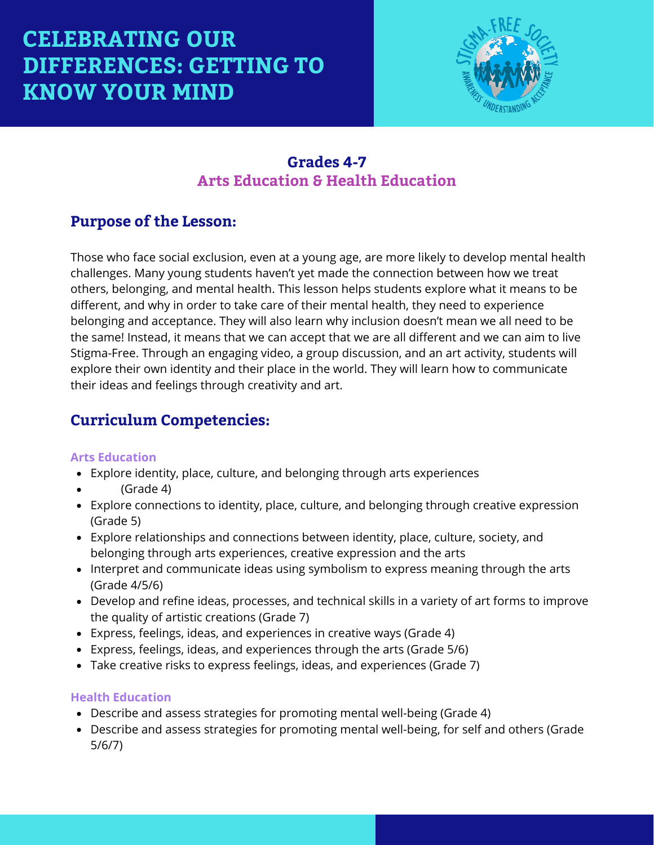

### **Grades 4-7 Arts Education & Health Education**

### **Purpose of the Lesson:**

Those who face social exclusion, even at a young age, are more likely to develop mental health challenges. Many young students haven't yet made the connection between how we treat others, belonging, and mental health. This lesson helps students explore what it means to be different, and why in order to take care of their mental health, they need to experience belonging and acceptance. They will also learn why inclusion doesn't mean we all need to be the same! Instead, it means that we can accept that we are all different and we can aim to live Stigma-Free. Through an engaging video, a group discussion, and an art activity, students will explore their own identity and their place in the world. They will learn how to communicate their ideas and feelings through creativity and art.

## **Curriculum Competencies:**

#### **Arts Education**

- Explore identity, place, culture, and belonging through arts experiences
- (Grade 4)
- Explore connections to identity, place, culture, and belonging through creative expression (Grade 5)
- Explore relationships and connections between identity, place, culture, society, and belonging through arts experiences, creative expression and the arts
- Interpret and communicate ideas using symbolism to express meaning through the arts (Grade 4/5/6)
- Develop and refine ideas, processes, and technical skills in a variety of art forms to improve the quality of artistic creations (Grade 7)
- Express, feelings, ideas, and experiences in creative ways (Grade 4)
- Express, feelings, ideas, and experiences through the arts (Grade 5/6)
- Take creative risks to express feelings, ideas, and experiences (Grade 7)

#### **Health Education**

- Describe and assess strategies for promoting mental well-being (Grade 4)
- Describe and assess strategies for promoting mental well-being, for self and others (Grade 5/6/7)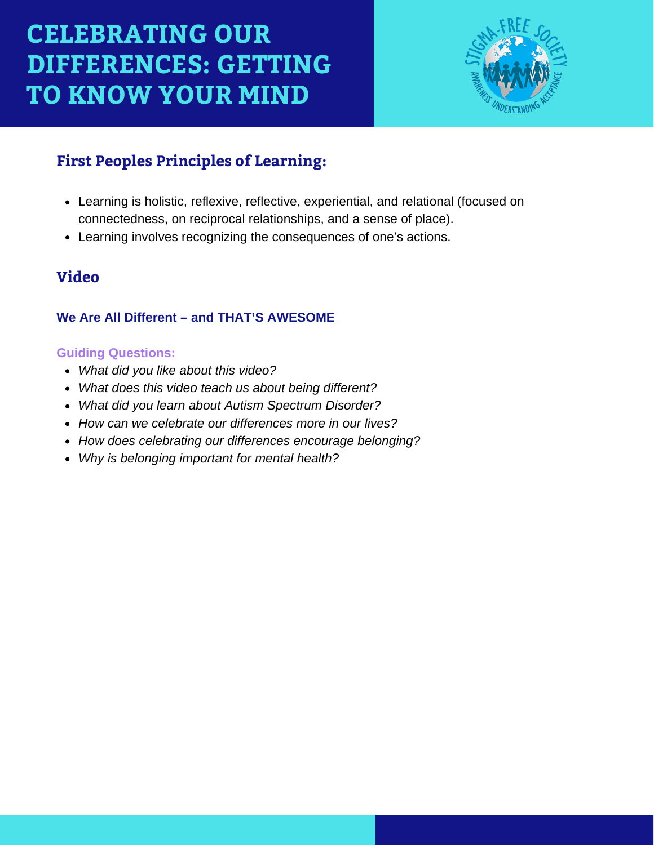

## **First Peoples Principles of Learning:**

- Learning is holistic, reflexive, reflective, experiential, and relational (focused on connectedness, on reciprocal relationships, and a sense of place).
- Learning involves recognizing the consequences of one's actions.

### **Video**

#### **[We Are All Different – and THAT'S AWESOME](https://www.youtube.com/watch?v=sQuM5e0QGLg)**

#### **Guiding Questions:**

- *What did you like about this video?*
- *What does this video teach us about being different?*
- *What did you learn about Autism Spectrum Disorder?*
- *How can we celebrate our differences more in our lives?*
- *How does celebrating our differences encourage belonging?*
- *Why is belonging important for mental health?*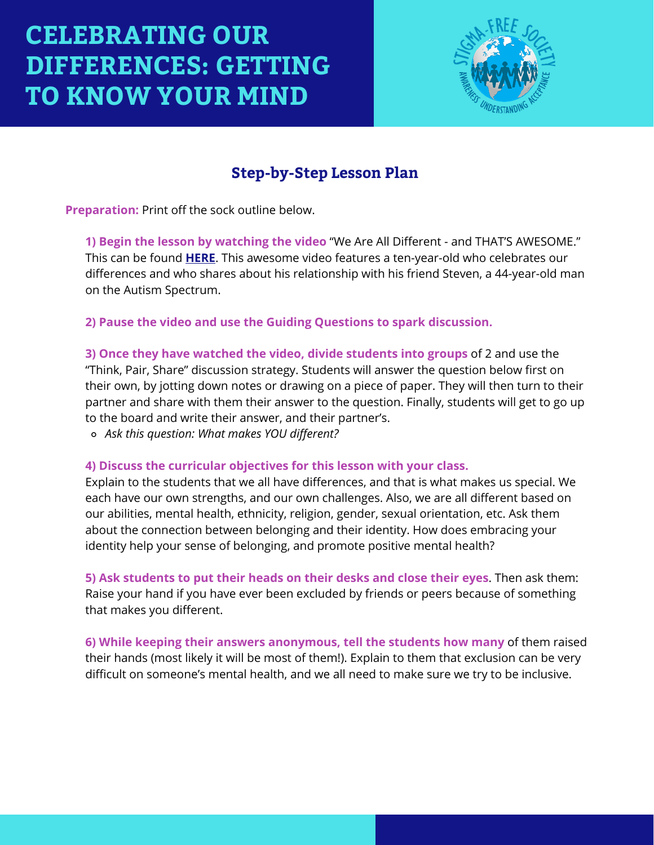

## **Step-by-Step Lesson Plan**

**Preparation:** Print off the sock outline below.

**1) Begin the lesson by watching the video** "We Are All Different - and THAT'S AWESOME." This can be found **[HERE](https://www.youtube.com/watch?v=sQuM5e0QGLg)**. This awesome video features a ten-year-old who celebrates our differences and who shares about his relationship with his friend Steven, a 44-year-old man on the Autism Spectrum.

**2) Pause the video and use the Guiding Questions to spark discussion.**

**3) Once they have watched the video, divide students into groups** of 2 and use the "Think, Pair, Share" discussion strategy. Students will answer the question below first on their own, by jotting down notes or drawing on a piece of paper. They will then turn to their partner and share with them their answer to the question. Finally, students will get to go up to the board and write their answer, and their partner's.

*Ask this question: What makes YOU different?*

#### **4) Discuss the curricular objectives for this lesson with your class.**

Explain to the students that we all have differences, and that is what makes us special. We each have our own strengths, and our own challenges. Also, we are all different based on our abilities, mental health, ethnicity, religion, gender, sexual orientation, etc. Ask them about the connection between belonging and their identity. How does embracing your identity help your sense of belonging, and promote positive mental health?

**5) Ask students to put their heads on their desks and close their eyes**. Then ask them: Raise your hand if you have ever been excluded by friends or peers because of something that makes you different.

**6) While keeping their answers anonymous, tell the students how many** of them raised their hands (most likely it will be most of them!). Explain to them that exclusion can be very difficult on someone's mental health, and we all need to make sure we try to be inclusive.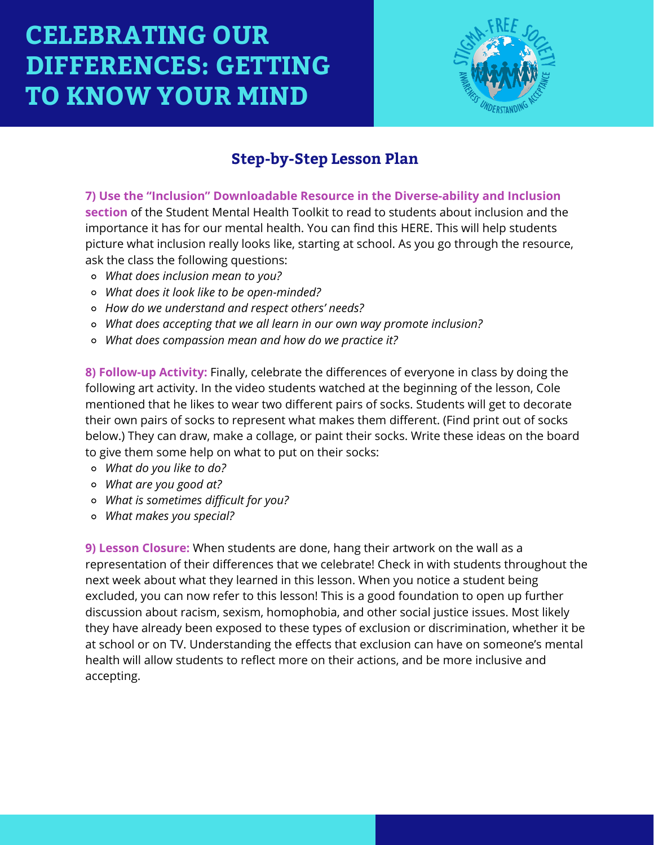

## **Step-by-Step Lesson Plan**

**7) Use the "Inclusion" Downloadable Resource in the Diverse-ability and Inclusion section** of the Student Mental Health Toolkit to read to students about inclusion and the importance it has for our mental health. You can find this HERE. This will help students picture what inclusion really looks like, starting at school. As you go through the resource, ask the class the following questions:

- *What does inclusion mean to you?*
- *What does it look like to be open-minded?*
- *How do we understand and respect others' needs?*
- *What does accepting that we all learn in our own way promote inclusion?*
- *What does compassion mean and how do we practice it?*

**8) Follow-up Activity:** Finally, celebrate the differences of everyone in class by doing the following art activity. In the video students watched at the beginning of the lesson, Cole mentioned that he likes to wear two different pairs of socks. Students will get to decorate their own pairs of socks to represent what makes them different. (Find print out of socks below.) They can draw, make a collage, or paint their socks. Write these ideas on the board to give them some help on what to put on their socks:

- *What do you like to do?*
- *What are you good at?*
- *What is sometimes difficult for you?*
- *What makes you special?*

**9) Lesson Closure:** When students are done, hang their artwork on the wall as a representation of their differences that we celebrate! Check in with students throughout the next week about what they learned in this lesson. When you notice a student being excluded, you can now refer to this lesson! This is a good foundation to open up further discussion about racism, sexism, homophobia, and other social justice issues. Most likely they have already been exposed to these types of exclusion or discrimination, whether it be at school or on TV. Understanding the effects that exclusion can have on someone's mental health will allow students to reflect more on their actions, and be more inclusive and accepting.